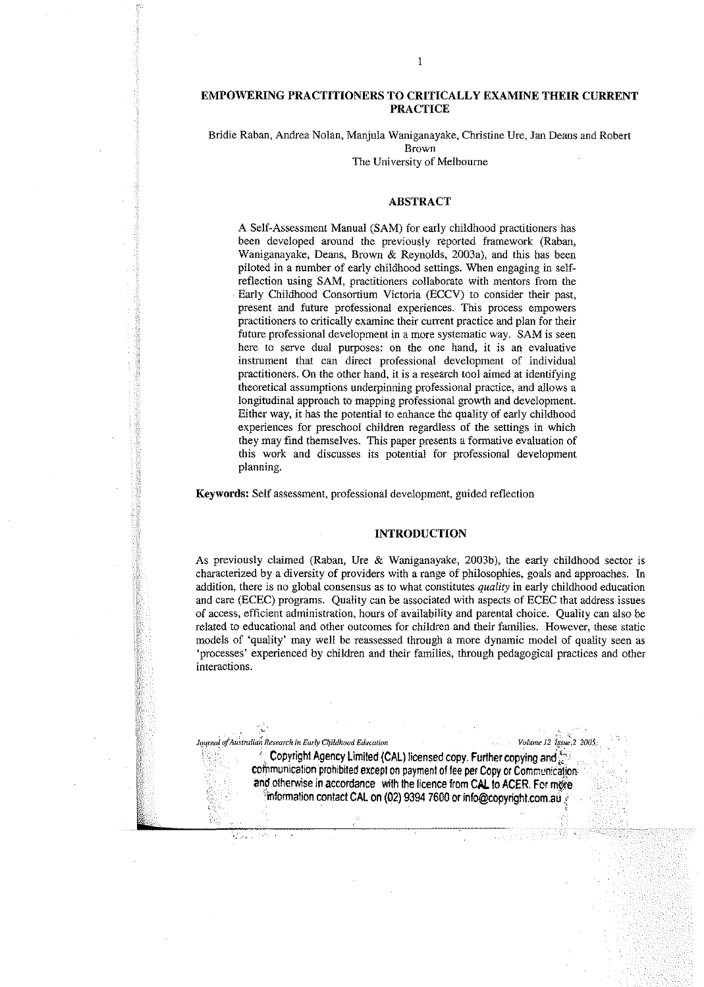#### EMPOWERING PRACTITIONERS TO CRITICALLY EXAMINE THEIR CURRENT PRACTICE

Bridie Raban, Andrea Nolan, Manjula Waniganayake, Christine Ure, Jan Deans and Robert Brown

The University of Melbourne

#### ABSTRACT

A Self-Assessment Manual (SAM) for early childhood practitioners bas been developed around the previously reported framework (Raban, Waniganayake, Deans, Brown & Reynolds, 2003a), and this has been piloted in a number of early childhood settings. When engaging in selfreflection using SAM, practitioners collaborate with mentors from the Early Childhood Consortium Victoria (ECCV) to consider their past, present and future professional experiences. This process empowers practitioners to critically examine their current practice and plan for their future professional development in a more systematic way. SAM is seen here to serve dual purposes: on the one hand, it is an evaluative instrument that can direct professional development of individual practitioners. On the other hand, it is a research tool aimed at identifying theoretical assumptions underpinning professional practice, and allows a longitudinal approach to mapping professional growth and development. Either way, it has the potential to enhance the quality of early childhood experiences for preschool children regardless of the settings in which they may find themselves. This paper presents a formative evaluation of this work and discusses its potential for professional development planning.

Keywords: Self assessment, professional development, guided reflection

#### INTRODUCTION

As previously claimed (Raban, Ure & Waniganayake, 2003b), the early childhood sector is characterized by a diversity of providers with a range of philosophies, goals and approaches. In addition, there is no global consensus as to what constitutes *quality* in early childhood education and care (ECEC) programs. Quality can be associated with aspects of ECEC that address issues of access, efficient administration, hours of availability and parental choice. Quality can also be related to educational and other outcomes for children and their families. However, these static models of 'quality' may well be reassessed through a more dynamic model of quality seen as 'processes' experienced by children and their families, through pedagogical practices and other interactions.

 $I$ ournal of Australian *Research in Early Childhood Education Volume* 12 *lssic*, 2 2005;

Copyright Agency Limited (CAL) licensed copy. Further copying and communication prohibited except on payment of fee per Copy or Communication. and otherwise in accordance with the licence from CAL to ACER. For more  $\frac{1}{2}$ information contact CAL on (02) 9394 7600 or info@copyright.com.a $\frac{1}{2}$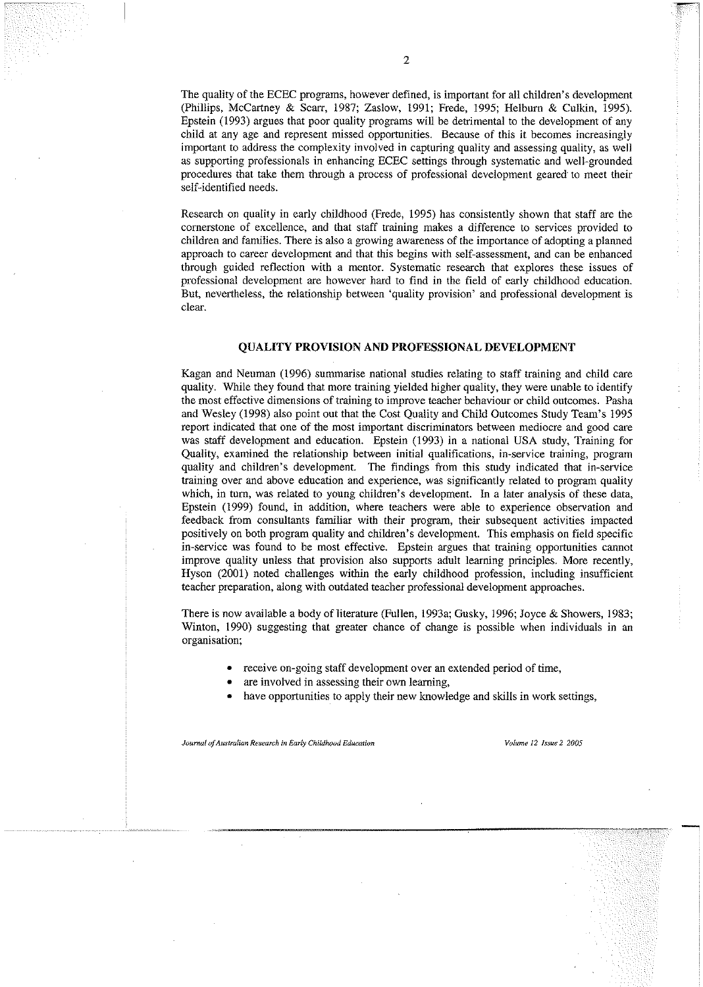The quality of the ECEC programs, however defined, is important for all children's development (Phillips, McCartney & Scarr, 1987; Zaslow, 1991; Frede, 1995; Helburn & Culkin, 1995). Epstein (1993) argues that poor quality programs will be detrimental to the development of any child at any age and represent missed opportunities. Because of this it becomes increasingly important to address the complexity involved in capturing quality and assessing quality, as well as supporting professionals in enhancing ECEC settings through systematic and well-grounded **procedures that take them through a process of professional development** geared **to meet their** self-identified needs.

Research on quality in early childhood (Frede, 1995) has consistently shown that staff are the cornerstone of excellence, and that staff training makes a difference to services provided to children and families. There is also a growing awareness of the importance of adopting a planned approach to career development and that this begins with self-assessment, and can be enhanced through guided reflection with a mentor. Systematic research that explores these issues of professional development are however hard to find in the field of early childhood education. But, nevertheless, the relationship between 'quality provision' and professional development is **clear.**

## **QUALITY PROVISION ANDPROFESSIONAL DEVELOPMENT**

Kagan and Neuman (1996) summarise national studies relating to staff training and child care quality. While they found that more training yielded higher quality, they were unable to identify **themosteffectivedimensions of training to improve teacher behaviour or childoutcomes. Pasha** and Wesley (1998) also point out that the Cost Quality and Child Outcomes Study Team's 1995 report indicated that one of the most important discriminators between mediocre and good care was staff development and education. Epstein (1993) in a national USA study, Training for **Quality, examined the relationship between initial qualifications, in-service training, program** quality and children's development. The findings from this study indicated that in-service training over and above education and experience, was significantly related to program quality which, in turn, was related to young children's development. In a later analysis of these data, Epstein (1999) found, in addition, where teachers were able to experience observation and feedback from consultants fantiliar with their program, their subsequent activities impacted positively on both program quality and children's development. This emphasis on field specific **in-service was found to be most effective. Epstein argues that training opportunities cannot** improve quality unless that provision also supports adult learning principles. More recently, Hyson (2001) noted challenges within the early childhood profession, including insufficient teacher preparation, along with outdated teacher professional development approaches.

There is now available a body of literature (Fullen, I993a; Gusky, 1996; Joyce & Showers, 1983; Winton, 1990) suggesting that greater chance of change is possible when individuals in an **organisation;**

- receive on-going staff development over an extended period of time,
- **• are involved in assessing their own learning,**
- have opportunities to apply their new knowledge and skills in work settings,

*Journal of Australian Research in Early Childhood Education volume volume 12 Issue* 2 *2005*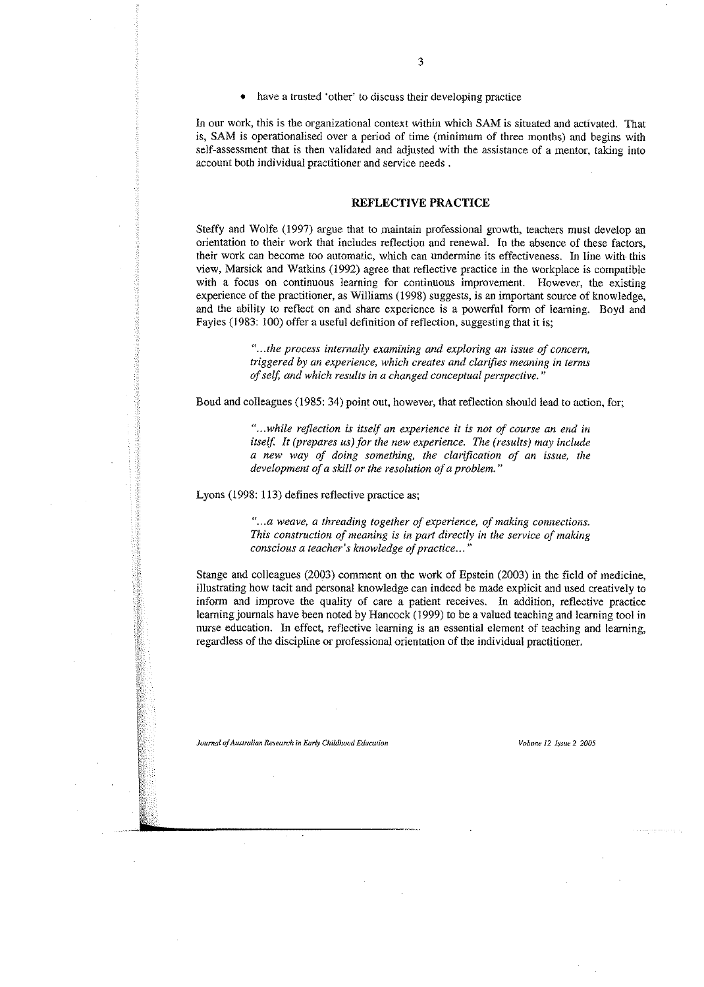In our work, this is the organizational context within which SAM is situated and activated. That is, SAM is operationalised over a period of time (minimum of three months) and begins with self-assessment that is then validated and adjusted with the assistauce of a mentor, taking into **account** both individual practitioner and service needs.

# **REFLECTIVE PRACTICE**

Steffy and Wolfe (1997) argue that to maintain professional growth, teachers must develop an orientation to their work that includes reflection and renewal. In the absence of these factors, **their work can become too automatic, which can undermine its effectiveness. In line** with **this** view, Marsick and Watkins (1992) agree that reflective practice in the workplace is compatible **with a focus on continuous learning for continuous improvement. However, the existing** experience of the practitioner, as Williams (1998) suggests, is an important source of knowledge, and the ability to reflect on and share experience is a powerful form of learning. Boyd and Fayles (1983: 100) offer a useful definition of reflection, suggesting that it is;

> *". ..the process internally examining and exploring an issue of concern, triggered by an experience, which creates and clarifies meaning in terms ofself, and which results in a changed conceptual perspective. "*

Boud and colleagues (1985: 34) point out, however, that reflection shonld lead to action, for;

**<sup>H</sup> •••***while reflection is itself an experience it is not of course an end in itself, It (prepares us) for the new experience. The (results) may include a new way of doing something, the clarification of an issue, the development ofa skill or the resolution ofa problem. "*

Lyons (1998: 113) defines reflective practice as;

*"... a weave, a threading together of experience, of making connections. This construction ofmeaning is in part directly in the service of making conscious a teacher's knowledge ofpractice...* **"**

Stange and colleagues (2003) comment on the work of Epstein (2003) in the field of medicine, illustrating how tacit and personal knowledge can indeed be made explicit and nsed creatively to inform and improve the quality of care a patient receives. In addition, reflective practice learning journals have been noted by Hancock (1999) to be a valued teaching and learning tool in **nurse education. In effect. reflective learning is an essential element of teaching and learning,** regardless of the discipline or professional orientation of the individual practitioner.

*Journal ofAustralian Research inEarlyChildhuud Education volume* **12** *Issue* **2** *2005*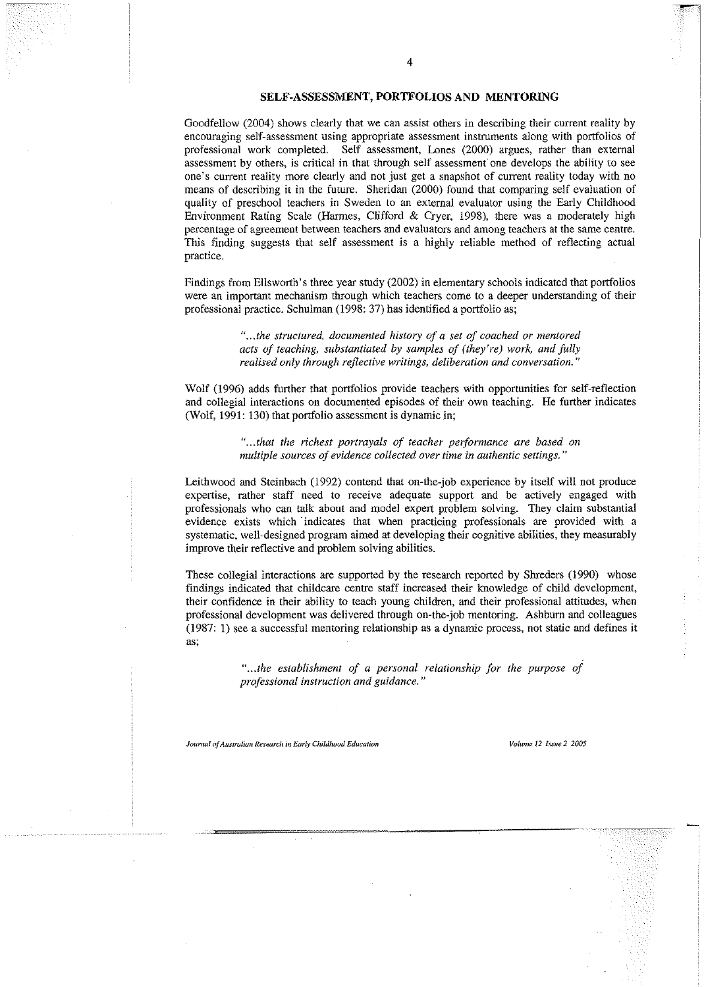# **SELF-ASSESSMENT, PORTFOLIOS AND MENTORING**

4

Goodfellow (2004) shows clearly that we can assist others in describing their current reality by **encouraging self-assessment using appropriate assessment instruments along with portfolios of** professional work completed. Self assessment, Lones (2000) argues, rather than external assessment **by others, is critical in that through self assessment" one develops the ability to see one's current reality more clearly and not just get a snapshot of current reality today with no** means of describing it in the future. Sheridan (2000) found that comparing self evaluation of quality of preschool teachers in Sweden to an external evaluator using the Early Childhood Environment Rating Scale (Harmes, Clifford & Cryer, 1998), there was a moderately high **percentage of agreement between teachers and evaluators and among teachers atthesamecentre.** This finding suggests that self assessment is a highly reliable method of reflecting acrual practice.

Findings from Ellsworth's three year study (2002) in elementary schools indicated that portfolios were an important mechanism through which teachers come to a deeper understanding of their professional practice. Schulman (1998: 37) has identified a portfolio as;

> *"... the structured, documented history of a set of coached or mentored acts of teaching, substantiated by samples of (they're) work, and fully realised only through reflective writings, deliberation and conversation. "*

Wolf (1996) adds further that portfolios provide teachers with opportunities for self-reflection and collegial interactions on documented episodes of their own teaching. He further indicates (Wolf, 1991: 130) that portfolio assessment is dynamic in;

> *"...that the richest portrayals of teacher performance are based on multiple* sources of evidence collected over time in authentic settings."

Leithwood and Steinbach (1992) contend that on-the-job experience by itself will not produce expertise, rather staff need to receive adequate support and be actively engaged with professionals who can talk about and model expert problem solving. They claim substantial evidence exists which· indicates that when practicing professionals are provided with a systematic, well-designed program aimed at developing their cognitive abilities, they measurably improve their reflective and problem solving abilities.

These collegial interactions are supported by the research reported by Shreders (1990) whose findings indicated that childcare centre staff increased their knowledge of child development, their confidence in their ability to teach young children, and their professional attitudes, when professional development was delivered through on-the-job mentoring. Ashburn and colleagues (1987: 1) see a successful mentoring relationship as a dynamic process, not static and defines it **as;**

> *"...the establishment of a personal relationship for the purpose of professional instruction and guidance. "*

*JournalofAustralianResearch***ill***:Early ChildhoodEducation Volume* **12** L\'~'W:! **2** *2005*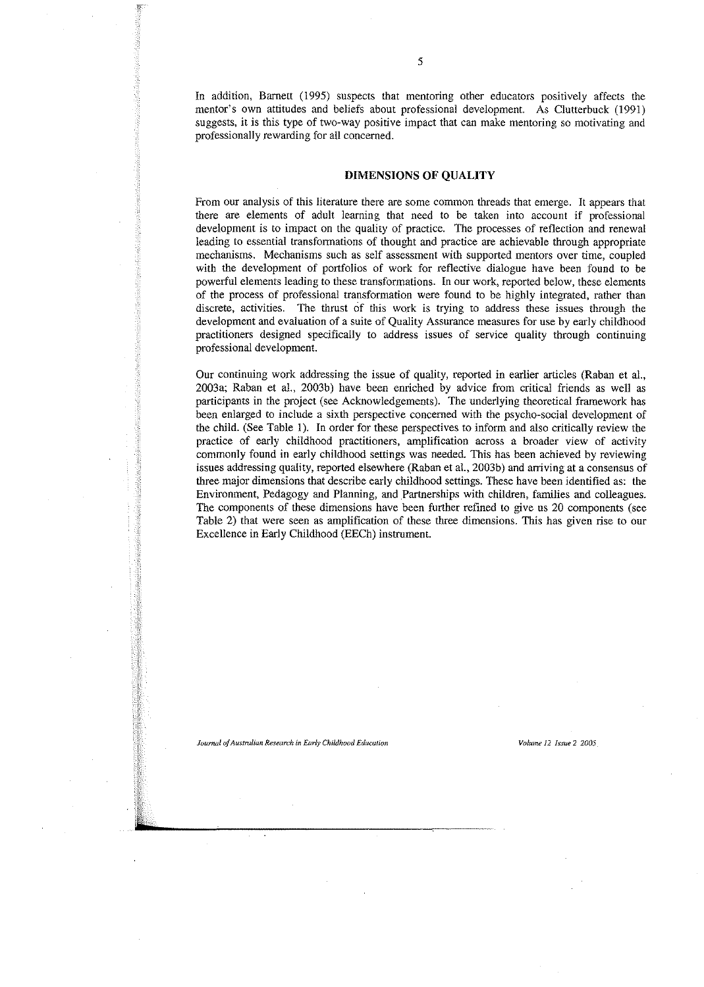In addition, Barnett (1995) suspects that mentoring other educators positively affects the mentor's own attitudes and heliefs about professional development. As Clutterbuck (1991) **suggests, it is this type of two-way positive impact that can make** mentoring **so motivating and** professionally rewarding for all concerned.

## **DIMENSIONS OF QUALITY**

**From our analysis of this literature there are some common threads that emerge. It appears that** there are elements of adult learning that need to be taken into account if professional development is to impact on the quality of practice. The processes of reflection and renewal leading to essential transformations of thought and practice are achievable through appropriate **mechanisms. Mechanisms such as self assessment with supported mentors over time, coupled** with the development of portfolios of work for reflective dialogue have been found to be powerful elements leading to these transformations. In our work, reported below, these elements of the process of professional transformation were found to be highly integrated, rather than **discrete, activities. The thrust of this work is trying to address these issues through the** development and evaluation of a suite of Quality Assurance measures for use by early childhood practitioners designed specifically to address issues of service quality through continuing professional development.

Our continuing work addressing the issue of quality, reported in earlier articles (Raban et al., 2003a; Raban et al., 2003b) have been enriched by advice from critical friends as well as participants in the project (see Acknowledgements). The underlying theoretical framework has been enlarged to include a sixth perspective concerned with the psycho-social development of the child. (See Table 1). In order for these perspectives to inform and also critically review the practice of early childhood practitioners, amplification across a broader view of activity commonly found in early childhood settings was needed. This has been achieved by reviewing issues addressing quality, reported elsewhere (Raban et al., 2003b) and arriving at a consensus of three major dimensions that describe early childhood settings. These have been identified as: the Environment, Pedagogy and Planning, and Partnerships with children, families and colleagues. The components of these dimensions have been further refined to give us 20 components (see Table 2) that were seen as amplification of these three dimensions. This has given rise to our Excellence in Early Childhood (EECh) instrument.

#### *JournalofAustralianResearchinEarlyChildhoodEducation Volume***12** *Issue* **2** *2005*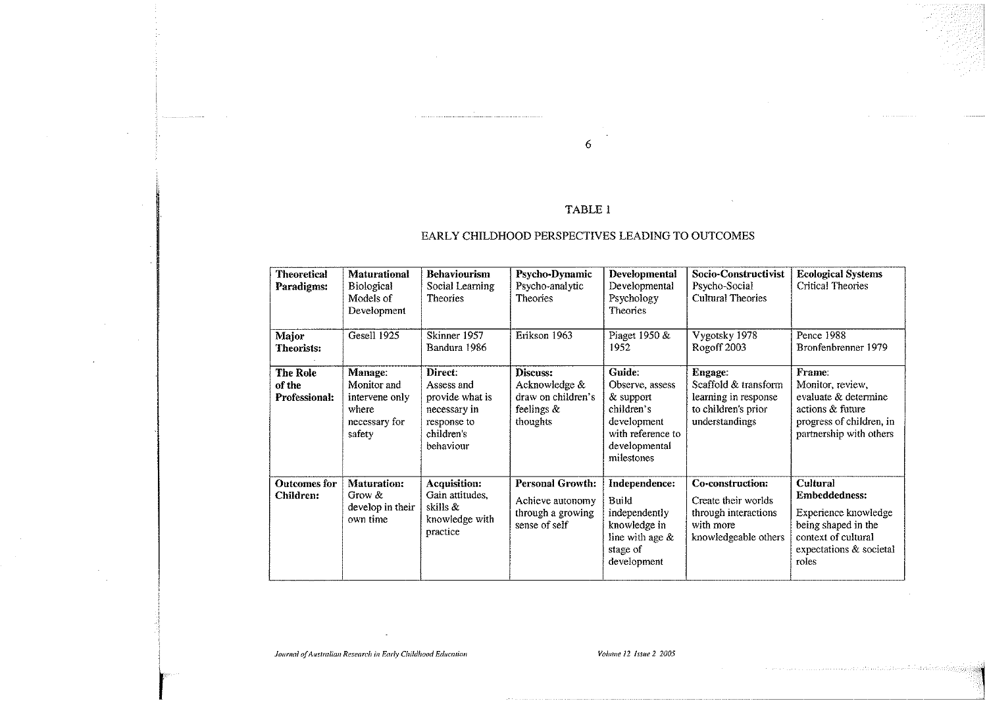# TABLE I

6

# EARLY CHILDHOOD PERSPECTIVES LEADING TO OUTCOMES

| <b>Theoretical</b><br>Paradigms:           | <b>Maturational</b><br><b>Biological</b><br>Models of<br>Development                | <b>Behaviourism</b><br>Social Learning<br><b>Theories</b>                                          | Psycho-Dynamic<br>Psycho-analytic<br><b>Theories</b>                              | <b>Developmental</b><br>Developmental<br>Psychology<br><b>Theories</b>                                                  | Socio-Constructivist<br>Psycho-Social<br><b>Cultural Theories</b>                                           | <b>Ecological Systems</b><br>Critical Theories                                                                                                    |
|--------------------------------------------|-------------------------------------------------------------------------------------|----------------------------------------------------------------------------------------------------|-----------------------------------------------------------------------------------|-------------------------------------------------------------------------------------------------------------------------|-------------------------------------------------------------------------------------------------------------|---------------------------------------------------------------------------------------------------------------------------------------------------|
| Major<br><b>Theorists:</b>                 | Gesell 1925                                                                         | Skinner 1957<br>Bandura 1986                                                                       | Erikson 1963                                                                      | Piaget 1950 &<br>1952                                                                                                   | Vygotsky 1978<br>Rogoff 2003                                                                                | Pence 1988<br>Bronfenbrenner 1979                                                                                                                 |
| <b>The Role</b><br>of the<br>Professional: | <b>Manage:</b><br>Monitor and<br>intervene only<br>where<br>necessary for<br>safety | Direct:<br>Assess and<br>provide what is<br>necessary in<br>response to<br>children s<br>behaviour | Discuss:<br>Acknowledge &<br>draw on children's<br>feelings $\&$<br>thoughts      | Guide:<br>Observe, assess<br>& support<br>children's<br>development<br>with reference to<br>developmental<br>milestones | <b>Engage:</b><br>Scaffold & transform<br>learning in response<br>to children's prior<br>understandings     | Frame:<br>Monitor, review,<br>evaluate & determine<br>actions & future<br>progress of children, in<br>partnership with others                     |
| Outcomes for<br>Children:                  | <b>Maturation:</b><br>Grow &<br>develop in their<br>own time                        | <b>Acquisition:</b><br>Gain attitudes,<br>skills &<br>knowledge with<br>practice                   | <b>Personal Growth:</b><br>Achieve autonomy<br>through a growing<br>sense of self | Independence:<br>Build<br>independently<br>knowledge in<br>line with age $\&$<br>stage of<br>development                | <b>Co-construction:</b><br>Create their worlds<br>through interactions<br>with more<br>knowledgeable others | <b>Cultural</b><br><b>Embeddedness:</b><br>Experience knowledge<br>being shaped in the<br>context of cultural<br>expectations & societal<br>roles |

*Journal of Australian Research in Early Childhood Education* volume 12 *Issue* 2 *2005*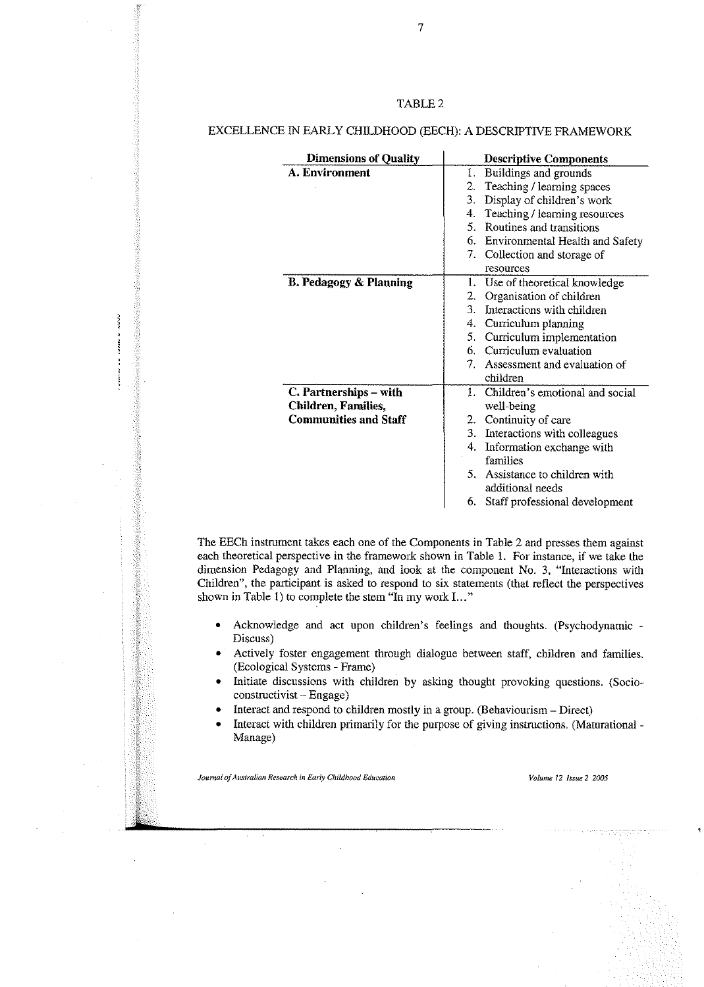# TABLE 2

## EXCELLENCE IN EARLY CHILDHOOD (EECH): A DESCRIPTIVE FRAMEWORK

| <b>Dimensions of Quality</b>      | <b>Descriptive Components</b>                  |
|-----------------------------------|------------------------------------------------|
| A. Environment                    | Buildings and grounds<br>1.                    |
|                                   | Teaching / learning spaces<br>2.               |
|                                   | 3.<br>Display of children's work               |
|                                   | Teaching / learning resources<br>4.            |
|                                   | Routines and transitions<br>5.                 |
|                                   | 6. Environmental Health and Safety             |
|                                   | 7. Collection and storage of                   |
|                                   | resources                                      |
| <b>B. Pedagogy &amp; Planning</b> | 1.<br>Use of theoretical knowledge             |
|                                   | 2.<br>Organisation of children                 |
|                                   | 3.<br>Interactions with children               |
|                                   | Curriculum planning<br>4.                      |
|                                   | 5. Curriculum implementation                   |
|                                   | 6. Curriculum evaluation                       |
|                                   | 7. Assessment and evaluation of                |
|                                   | children                                       |
| C. Partnerships – with            | Children's emotional and social<br>$1_{\cdot}$ |
| <b>Children, Families,</b>        | well-being                                     |
| <b>Communities and Staff</b>      | 2. Continuity of care                          |
|                                   | 3. Interactions with colleagues                |
|                                   | Information exchange with<br>4.                |
|                                   | families                                       |
|                                   | 5. Assistance to children with                 |
|                                   | additional needs                               |
|                                   | 6. Staff professional development              |

The EECh instrument takes each one of the Components in Table 2 and presses them against each theoretical perspective in the framework shown in Table 1. For instance, if we take the dimension Pedagogy and Planning, and look at the component No. 3, "Interactions with Children", the participant is asked to respond to six statements (that reflect the perspectives shown in Table I) to complete the stem "In my work 1... "

- Acknowledge and act upon children's feelings and thoughts. (Psychodynamic Discuss)
- Actively foster engagement through dialogue between staff, children and families. (Ecological Systems - Frame)
- Initiate discussions with children by asking thought provoking questions. (Socioconstructivist - Engage)
- Interact and respond to children mostly in a group. (Behaviourism Direct)
- Interact with children primarily for the purpose of giving instructions. (Maturational Manage)

*Journal ofAustralian Research in Early Childhood Education Volume*12 *Issue*2 *2005*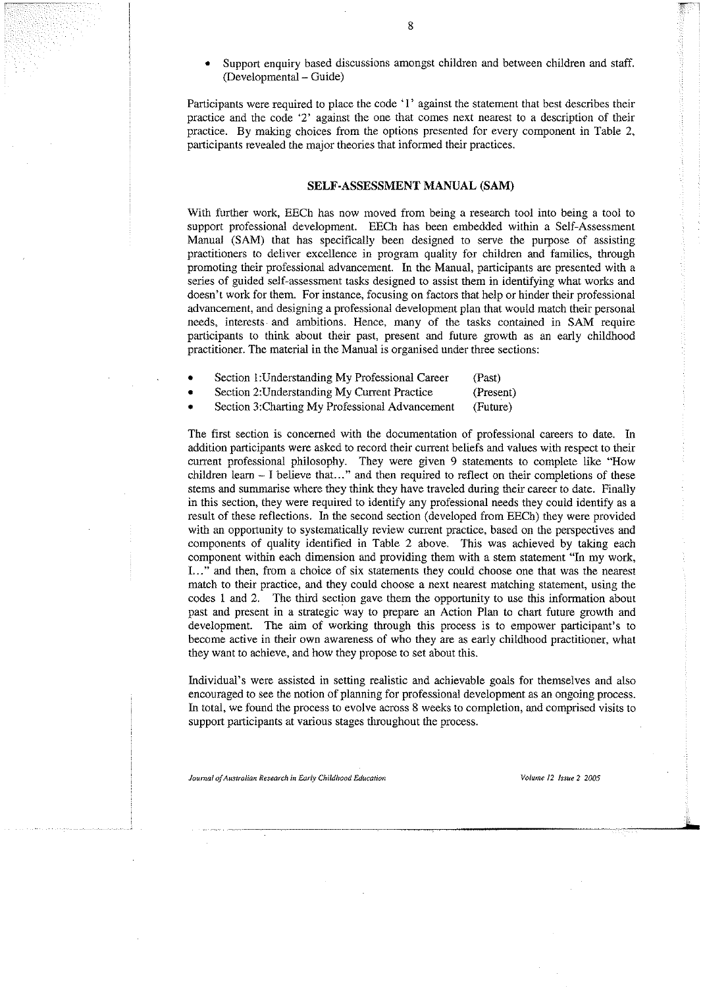Support enquiry based discussions amongst children and between children and staff. (Developmental - Guide)

Participants were required to place the code '1' against the statement that best describes their practice and the code '2' against the one that comes next nearest to a description of their practice. By making choices from the options presented for every component in Table 2, participants revealed the major theories that informed their practices.

#### SELF-ASSESSMENT MANUAL (SAM)

With further work, EECh has now moved from being a research tool into being a tool to support professional development. EECh has heen embedded within a Self-Assessment Manual (SAM) that has specifically been designed to serve the purpose of assisting practitioners to deliver excellence in program quality for children and families, through promoting their professional advancement. In the Manual, participants are presented with a series of guided self-assessment tasks designed to assist them in identifying what works and doesn't work for them. For instance, foeusing on factors that help or hinder their professional advancement, and designing a professional development plan that would match their personal needs, interests and ambitions. Hence, many of the tasks contained in SAM require participants to think about their past, present and future growth as an early childhood practitioner. The material in the Manual is organised under three sections:

- Section I:Understanding My Professional Career (Past)
- Section 2:Understanding My Current Practice (Present)
- Section 3:Charting My Professional Advancement (Future)

The first section is concerned with the documentation of professional careers to date. In addition participants were asked to record their current beliefs and values with respect to their current professional philosophy. They were given 9 statements to complete like "How children learn - I believe that..." and then required to reflect on their completions of these stems and summarise where they think they have traveled during their career to date. Finally in this section, they were required to identify any professional needs they could identify as a result of these reflections. In the second section (developed from EECh) they were provided with an opportunity to systematically review current practice, hased on the perspectives and components of quality identified in Tahle 2 ahove. This was achieved hy taking each component within each dimension and providing them with a stem statement "In my work, 1..." and then, from a choice of six statements they eould ehoose one that was the nearest match to their practice, and they could choose a next nearest matching statement, using the codes I and 2. The third section gave them the opportunity to use this information ahout past and present in a strategic way to prepare an Action Plan to chart future growth and development. The aim of working through this process is to empower participant's to hecome active in their own awareness of who they are as early childhood practitioner, what they want to achieve, and how they propose to set about this.

Individual's were assisted in setting realistic and achievable goals for themselves and also encouraged to see the notion of planning for professional development as an ongoing process. In total, we found the process to evolve across 8 weeks to completion, and comprised visits to support participants at various stages throughout the process.

*Journal ofAustralian Research in Early Childhood Education Volume J2 Issue*2 *2005*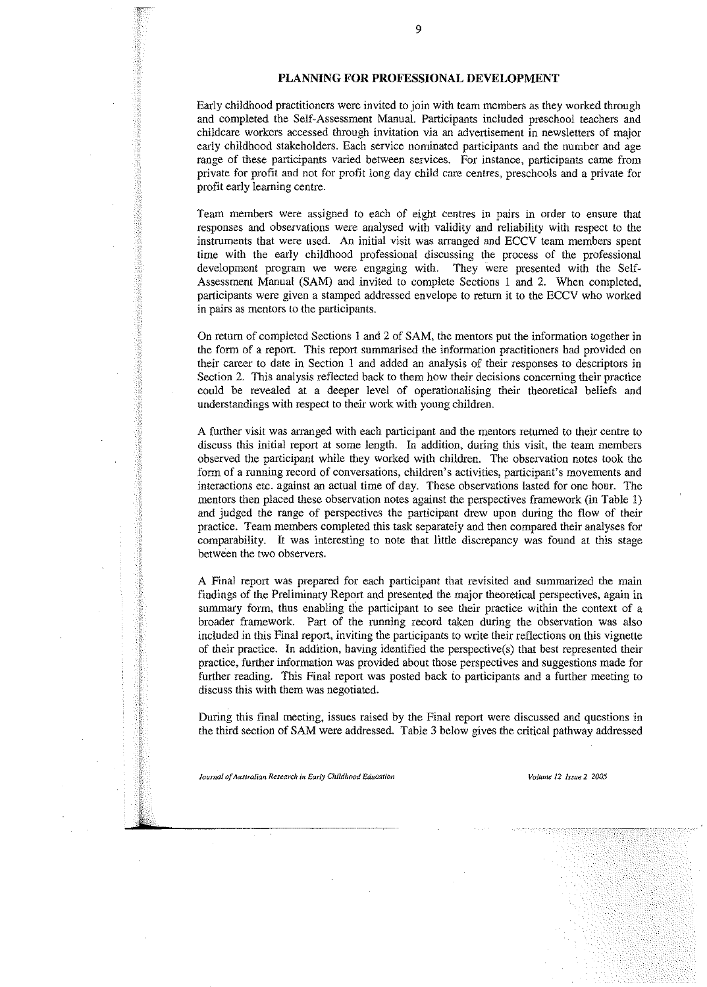# **PLANNING FOR PROFESSIONAL DEVELOPMENT**

Early childhood practitioners were invited to join with team members as they worked through and completed the Self-Assessment Manual. Participants included preschool teachers and childcare workers accessed through invitation via an advertisement in newsletters of major early childhood stakeholders. Each service nominated participants and the number and age range of these participants varied between services. For instance, participants came from private for profit and not for profit long day child care centres, preschools and a private for profit early learning centre.

Team members were assigned to each of eight centres in pairs in order to ensure that responses and observations were analysed with validity and reliability with respect to the instruments that were used. An initial visit was arranged and ECCV team members spent time with the early childhood professional discussing the process of the professional development program we were engaging with. They were presented with the Self-Assessment Manual (SAM) and invited to complete Sections I and 2. When completed, participants were given a stamped addressed envelope to return it to the ECCV who worked in pairs as mentors to the participants.

**On** return of completed Sections I and 2 of SAM, the mentors put the information together in the form of a report. This report summarised the information practitioners had provided on their career to date in Section I and added an analysis of their responses to descriptors in Section 2. This analysis reflected back to them how their decisions concerning their practice could be revealed at a deeper level of operationalising their theoretical beliefs and understandings with respect to their work with young children.

A further visit was arranged with each participant and the mentors returned to their centre to discuss this initial report at some length. In addition, during this visit, the team members observed the participant while they worked with children. The observation notes took the **form of a running record of conversations, children's activities, participant's movements and** interactions etc. against an actual time of day. These observations lasted for one hour. The mentors then placed these observation notes against the perspectives framework (in Table I) and judged the range of perspectives the participant drew upon during the flow of their practice. Team members completed this task separately and then compared their analyses for comparability. **It** was interesting to note that little discrepancy was found at this stage between the two observers.

A Final report was prepared for each participant that revisited and summarized the main findings of the Preliminary Report and presented the major theoretical perspectives, again in summary form, thus enabling the participant to see their practice within the context of a broader framework. Part of the running record taken during the observation was also included in this Final report, inviting the participants to write their reflections on this vignette of their practice. In addition, having identified the perspective(s) that best represented their practice, further information was provided about those perspectives and suggestions made for further reading. This Final report was posted back to participants and a further meeting to discuss this with them was negotiated.

During this final meeting, issues raised by the Final report were discussed and questions in the third section of SAM were addressed. Table 3 below gives the critical pathway addressed

*Journal of Australian Research in Early Childhood Education Volume Volume 12 Issue* 2 2005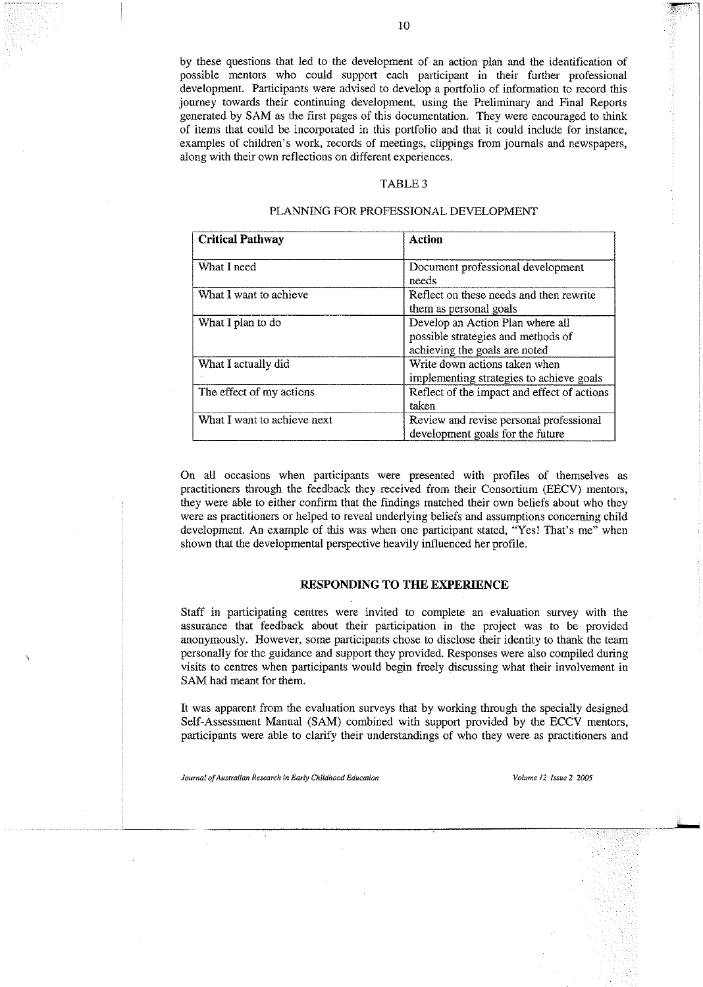by these questions that led to the development of an action plan and the identification of possible mentors who could support each participant in their further professional development. Participants were advised to develop a portfolio of information to record this journey towards their continuing development, using the Preliminary and Final Reports generated by SAM as the first pages of this documentation. They were encouraged to think of items that could be incorporated in this portfolio and that it could include for instance, examples of children's work, records of meetings, clippings from journals and newspapers, along with their own reflections on different experiences.

#### TABLE 3

# PLANNING FOR PROFESSIONAL DEVELOPMENT

| <b>Critical Pathway</b>     | Action                                                                                                  |
|-----------------------------|---------------------------------------------------------------------------------------------------------|
| What I need                 | Document professional development<br>needs                                                              |
| What I want to achieve      | Reflect on these needs and then rewrite<br>them as personal goals                                       |
| What I plan to do           | Develop an Action Plan where all<br>possible strategies and methods of<br>achieving the goals are noted |
| What I actually did         | Write down actions taken when<br>implementing strategies to achieve goals                               |
| The effect of my actions    | Reflect of the impact and effect of actions<br>taken                                                    |
| What I want to achieve next | Review and revise personal professional<br>development goals for the future                             |

On all occasions when participants were presented with profiles of themselves as practitioners through the feedback they received from their Consortium (EECV) mentors, they were able to either confirm that the findings matched their own beliefs about who they were as practitioners or helped to reveal underlying beliefs and assumptions concerning child development. An example of this was when one participant stated, "Yes! That's me" when shown that the developmental perspective heavily influenced her profile.

# **RESPONDING TO THE EXPERIENCE**

Staff in participating centres were invited to complete an evaluation survey with the assurance that feedback about their participation in the project was to be provided anonymously. However, some participants chose to disclose their identity to thank the team personally for the guidance and support they provided. Responses were also compiled during visits to centres when participants would begin freely discussing what their involvement in SAM had meant for them.

It was apparent from the evaluation surveys that by working through the specially designed Self-Assessment Manual (SAM) combined with support provided by the ECCV mentors, participants were able to clarify their understandings of who they were as practitioners and

*Journalof Australian Researchin Early ChildhoodEducation Volume* **12** *Issue***2** *2005*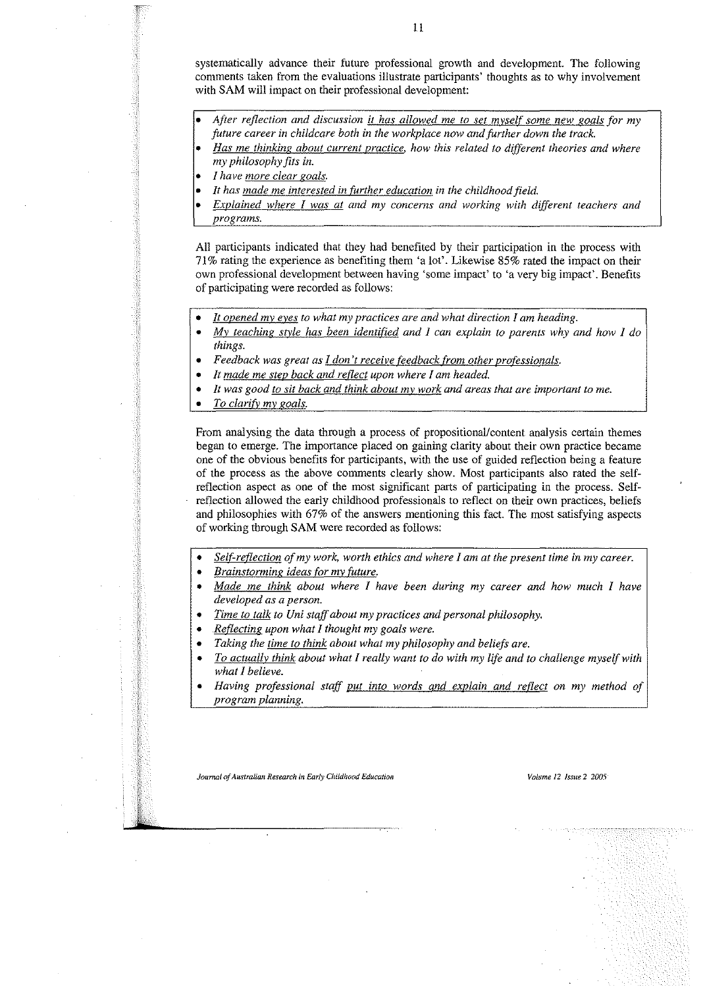systematically advance their future professional growth and development. The following comments taken from the evaluations illustrate participants' thoughts as to why involvement with SAM will impact on their professional development:

- *• After reflection and discussion it has allowed me to set myself some new goals for my future career* in *childcare both* in *the workplace now and further down the track.*
- *Has me thinking about current practice. how this related to different theories and where my philosophy fits* in.
- *• 1have more clear goals.*
- *It has made me interested* in *further education* in *the childhood field.*
- *Explained where I was at and my concerns and working with different teachers and programs.*

All participants indicated that they had benefited by their participation in the process with 71% rating the experience as benefiting them 'a lot'. Likewise 85% rated the impact on their own professional development between having 'some impact' to 'a very big impact'. Benefits of participating were recorded as follows:

- *It opened my eyes to what my practices are and what direction I am heading.*
- *My teaching style has been identified and I can explain to parents why and how I do things.*
- *Feedback was great as I don't receive feedback from other professionals.*
- *It made me step back and reflect upon where I am headed.*
- *It was good to sit back and think about my work and areas that are important to me.*
- *To clarify my goals.*

From analysing the data through a process of propositional/content analysis certain themes began to emerge. The importance placed on gaining clarity about their own practice became one of the obvious benefits for participants, with the use of guided reflection being a feature of the process as the above comments clearly show. Most participants also rated the selfreflection aspect as one of the most significant parts of participating in the process. Selfreflection allowed the early childhood professionals to reflect on their own practices, beliefs and philosophies with 67% of the answers mentioning this fact. The most satisfying aspects of working through SAM were recorded as follows:

- *Self-reflection ofmy work, worth ethics and where I am at the present time* in *my career.*
- *• Brainstonning ideas for my future.*
- *Made me think about where I have been during my career and how much I have developed as a person.*
- *Time to talk to Uni staffabout my practices and personal philosophy.*
- *Reflecting upon what I thought my goals were.*
- *Taking the time to think about what my philosophy and beliefs are.*
- *To actually think about what I really want to do with my life and to challenge myselfwith what I believe.*
- *Having professional staff put into words and explain and reflect on my method of program planning.*

*Journal of Australian Research in Early Childhood Education* **18**  *volume 12 Issue* **2** *2005*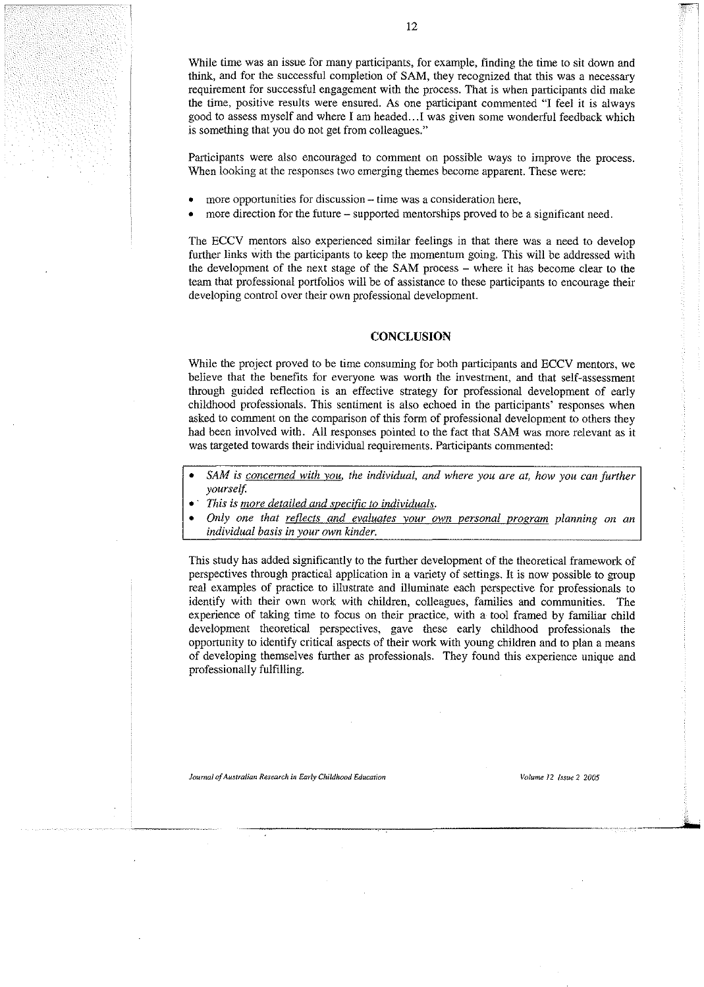While time was an issue for many participants, for example, finding the time to sit down and think, and for the successful completion of SAM, they recognized that this was a necessary requirement for successful engagement with the process. That is when participants did make the time, positive results were ensured. As one participant commented "I feel it is always good to assess myself and where I am headed...I was given some wonderful feedback which **is something that you do not get fromcolleagues,"**

Participants were also encouraged to comment on possible ways to improve the process. **When looking at the responses two emerging themes become apparent. These were:**

- **• more opportunities fordiscussion- time was a consideration here,**
- more direction for the future supported mentorships proved to be a significant need.

The ECCV mentors also experienced similar feelings in that there was a need to develop further links with the participants to keep the momentum going. This will be addressed with the development of the next stage of the SAM process - where it has become clear to the team that professional portfolios will be of assistance to these participants to encourage their developing control over their own professional development.

## **CONCLUSION**

While the project proved to be time consuming for both participants and ECCV mentors, we believe that the benefits for everyone was worth the investment, and that self-assessment through guided reflection is an effective strategy for professional development of early childhood professionals. This sentiment is also echoed in the participants' responses when asked to comment on the comparison of this form of professional development to others they had been involved with. All responses pointed to the fact that SAM was more relevant as it was targeted towards their individual requirements. Participants commented:

- *SAM is concerned with vou, the individual, and where you are at, how you can further yourself.*
- - *This is more detailed and specific to individuals.*
- *Only one that reflects and evaluates your own personal program planning on an individual basis in your own kinder.*

This study has added significantly to the further development of the theoretical framework of perspectives through practical application in a variety of settings. It is now possible to group real examples of practice to illustrate and illuminate each perspective for professionals to identify with their own work with children, colleagues, families and communities. The experience of taking time to focus on their practice, with a tool framed by familiar child development theoretical perspectives, gave these early childhood professionals the opportunity to identify critical aspects of their work with young children and to plan a means of developing themselves further as professionals. They found this experience unique and professionally fulfilling.

*Journal ofAustralian Research in EarlyChildhoodEducation Volume* **12** *Issue* **2** *2005*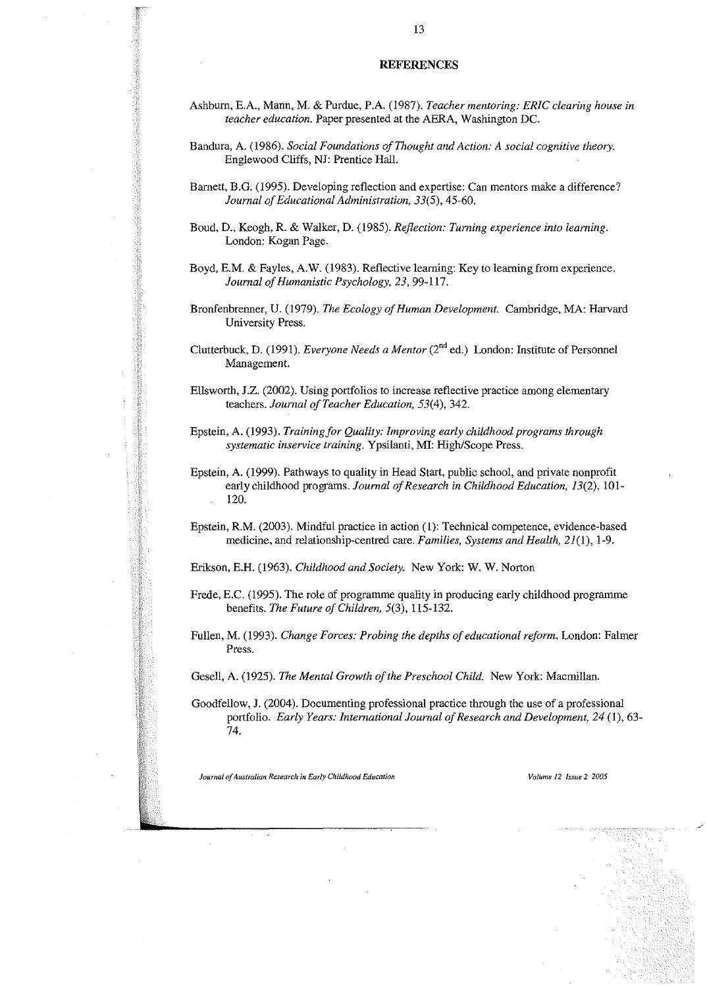#### **REFERENCES**

- Ashbum, E.A., Mann, M. & Purdue, P.A. (1987). *Teacher mentoring: ERIC clearing house in teacher education.* Paper presented at the AERA, Washington DC.
- Bandura, A. (1986). *Social Foundations of Thought and Action:* A *social cognitive theory.* Englewood Cliffs, NJ: Prentice Hall.
- Barnett, B.G. (1995). Developing reflection and expertise: Can mentors make a difference? *Journal ofEducational Administration,* 33(5),45-60.
- Boud, D., Keogh, R. & Walker, D. (1985). *Reflection: Turning experience into learning.* London: Kogan Page.
- Boyd, E.M. & Fayles, A.W. (1983). Reflective learning: Key to learning from experience. *Journal ofHumanistic Psychology,* 23,99-117.
- Bronfenbrenner, U. (1979). *The Ecology of Human Development.* Cambridge, MA: Harvard University Press.
- Clutterbuck, D. (1991). *Everyone Needs a Mentor* (2"ded.) London: Institute of Personnel Management.
- Ellsworth, J.Z. (2002). Using portfolios to increase reflective practice among elementary teachers. *Journal of Teacher Education*, 53(4), 342.
- Epstein, A. (1993). *Training for Quality: Improving early childhood programs through systematic inservice training.* Ypsilanti, MI: High/Scope Press.
- Epstein, A. (1999). Pathways to quality in Head Start, public school, and private nonprofit early childhood programs. *Journal of Research in Childhood Education, 13(2)*, 101-120.
- Epstein, R.M. (2003). Mindful practice in action (I): Technical competence, evidence-based medicine, and relationship-centred care. *Families, Systems and Health,* 21(1), 1-9.

Erikson, E.H. (1963). *Childhood and Society.* New York: W. W. Norton

- Frede, E.C. (1995). The role of programme quality in producing early childhood programme benefits. *The Future of Children*, 5(3), 115-132.
- Fullen, M. (1993). *Change Forces: Probing the depths of educational reform.* London: Falmer Press.

Gesell, A. (1925). *The Mental Growth of the Preschool Child.* New York: Macmillan.

Goodfellow, J. (2004). Documenting professional practice through the use of a professional portfolio. *Early Years: International Journal of Research and Development, 24 (1), 63-*74.

*Journal of Australian Research in Early Childhood Education Volume* **12** *Issue* **2 2005**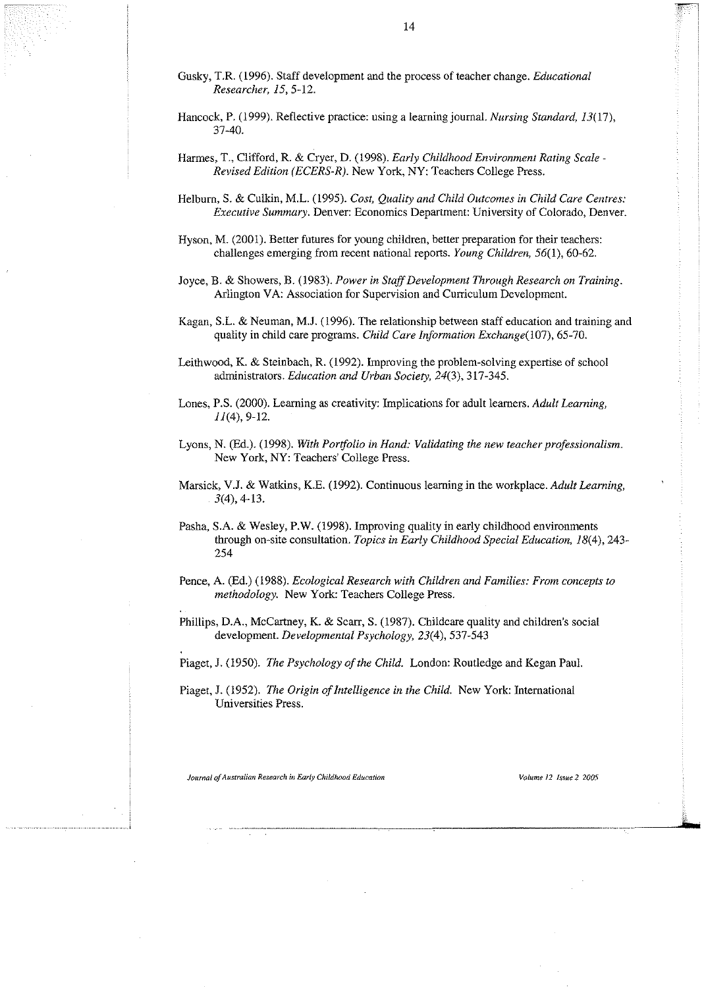- Gusky, T.R. (1996). Staff development and the process of teacher change. *Educational Researcher, 15,5-12.*
- Hancock, P. (1999). Reflective practice: using a learning journal. *Nursing Standard, 13(17),* 37-40.
- Harmes, T., Clifford, R. & Cryer, D. (1998). *Early Childhood Environment Rating Scale - Revised Edition (ECERS-R).* New York, NY: Teachers College Press.
- Helburn, S. & Culkin, M.L. (1995). *Cost, Quality and Child Outcomes in Child Care Centres: Executive Summary.* Denver: Economics Department: University of Colorado, Denver.
- Hyson, M. (2001). Better futures for young children, better preparation for their teachers: challenges emerging from recent national reports. *Young Children*, 56(1), 60-62.
- Joyce, B. & Showers, B. (1983). *Power in StaffDevelopment Through Research on Training.* Arlington VA: Association for Supervision and Curriculum Development.
- Kagan, S.L. & Neuman, **MJ.** (1996). The relationship between staff education and training and quality in child care programs. *Child Care Information Exchange(107), 65-70.*
- Leithwood, K. & Steinbach, R. (1992). Improving the problem-solving expertise of school administrators. *Education and Urban Society,* 24(3), 317-345.
- Lones, P.S. (2000). Learning as creativity: Implications for adult learners. *Adult Learning,*  $II(4)$ , 9-12.
- Lyons, N. (Ed.). (1998). *With Portfolio in Hand: Validating the new teacher professionalism.* New York, NY: Teachers' College Press.
- Marsick, VJ. & Watkins, KE. (1992). Continuous learning in the workplace. *Adult Learning,*  $3(4)$ , 4-13.
- Pasha, S.A. & Wesley, P.W. (1998). Improving quality in early childhood environments through on-site consultation. *Topics in Early Childhood Special Education, 18(4),243-* 254
- Pence, A. (Ed.) (1988). *Ecological Research with Children and Families: From concepts to methodology.* New York: Teachers College Press.
- Phillips, D.A., McCartney, K. & Scarr, S. (1987). Childcare quality and children's social development. *Developmental Psychology,* 23(4),537-543
- Piaget, J. (1950). *The Psychology of the Child.* London: Routledge and Kegan Paul.
- Piaget, J. (1952). *The Origin of Intelligence in the Child.* New York: International Universities Press.

*Journal 0/AustJ'Glian Research inEarlyChildhood Education* **Volume 12 Issue 2 2005**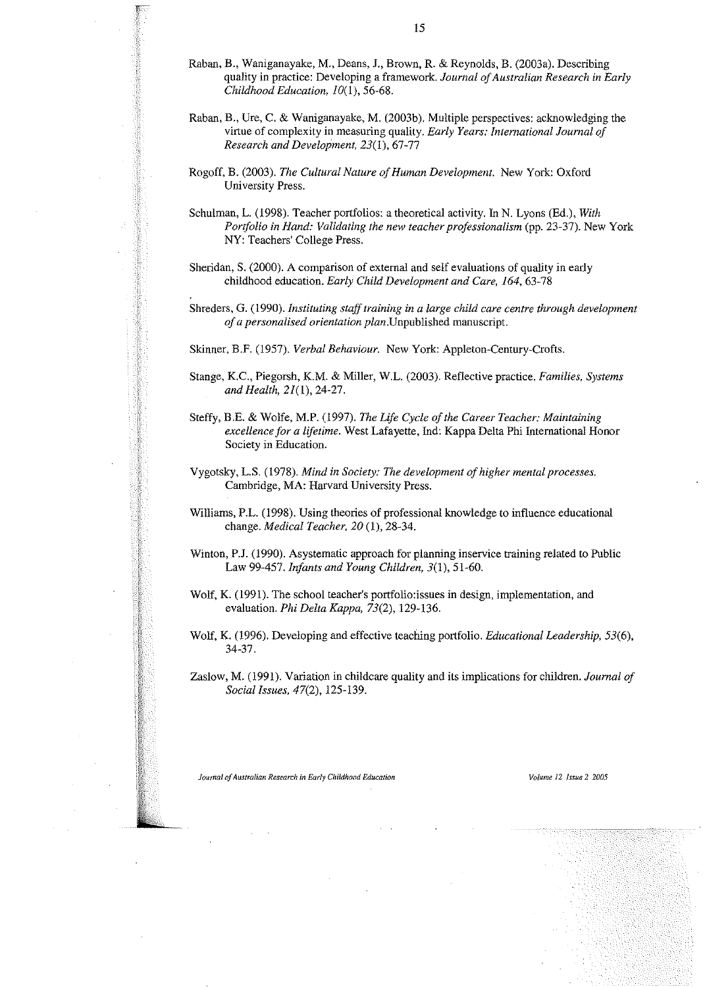- Raban, B., Waniganayake, M., Deans, L, Brown, R. & Reynolds, B. (2003a). Describing quality in practice: Developing a framework. *Journal ofAustralian Research in Early Childhood Education, 10(1),56-68.*
- Raban, B., Ure, C. & Waniganayake, M. (2003b). Multiple perspectives: acknowledging the virtue of complexity in measuring quality. *Early Years: International Journal of Research and Development,* 23(1), 67-77
- Rogoff, B. (2003). *The Cultural Nature of Human Development*. New York: Oxford University Press.
- Schulman, L. (1998). Teacher portfolios: a theoretical activity. In N. Lyons (Ed.), *With Portfolio in Hand: Validating the new teacher professionalism* (pp. 23-37). New York NY: Teachers' College Press.
- Sheridan, S. (2000). A comparison of external and self evaluations of quality in early childhood education. *Early Child Development and Care, 164, 63-78*
- Shreders, G. (1990). *Instituting stafftraining in a large child care centre through development ofa personalised orientation plan.Unpublished* manuscript.
- Skinner, B.F. (1957). *Verbal Behaviour.* New York: Appleton-Century-Crofts.
- Stange, KC., Piegorsh, KM. & Miller, W.L. (2003). Reflective practice. *Families, Systems and Health, 21(1),24-27.*
- Steffy, B.E. & Wolfe, M.P. (1997). *The Life Cycle of the Career Teacher: Maintaining excellence for a lifetime.* West Lafayette, Ind: Kappa Delta Phi International Honor Society in Education.
- Vygotsky, L.S. (1978). *Mind in Society: The development ofhigher mental processes.* Cambridge, MA: Harvard University Press.
- Williams, P.L. (1998). Using theories of professional knowledge to influence educational change. *Medical Teacher, 20* (I), 28-34.
- Winton, P.J. (1990). Asystematic approach for planning inservice training related to Public Law 99-457. *Infants and Young Children,* 3(1), 51-60.
- Wolf, K. (1991). The school teacher's portfolio: issues in design, implementation, and evaluation. *Phi Delta Kappa,* 73(2), 129-136.
- Wolf, K (1996). Developing and effective teaching portfolio. *Educational Leadership, 53(6),* 34-37.
- Zaslow, M. (1991). Variation in childcare quality and its implications for children. *Journal of Social Issues,* 47(2), 125-139.

*Journalof Australian Researchin EarlyChildhoodEducation Volume* **12** *Issue***2** *2005*